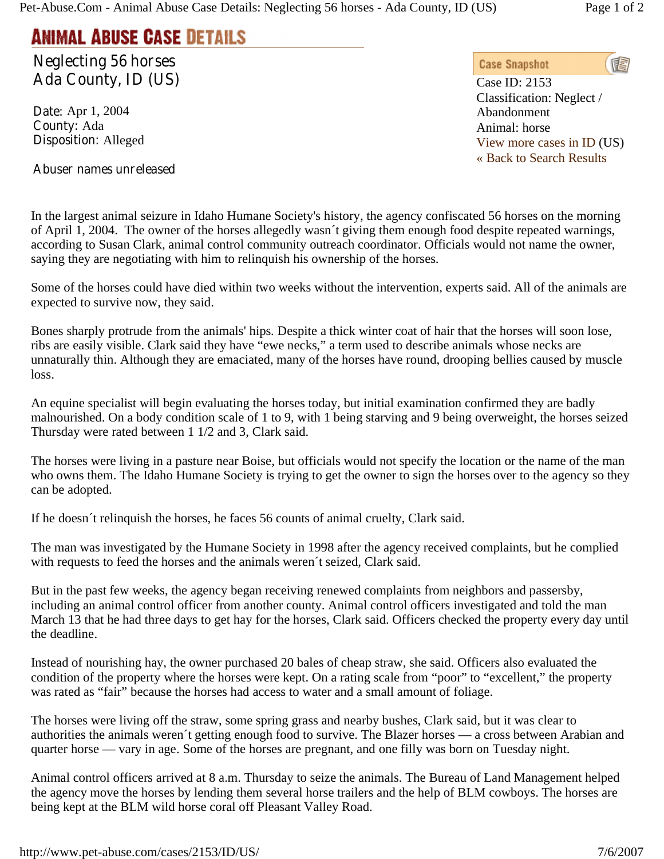## **ANIMAL ABUSE CASE DETAILS**

**Neglecting 56 horses Ada County, ID (US)** 

**Date:** Apr 1, 2004 **County:** Ada **Disposition:** Alleged

## **Abuser names unreleased**

In the largest animal seizure in Idaho Humane Society's history, the agency confiscated 56 horses on the morning of April 1, 2004. The owner of the horses allegedly wasn´t giving them enough food despite repeated warnings, according to Susan Clark, animal control community outreach coordinator. Officials would not name the owner, saying they are negotiating with him to relinquish his ownership of the horses.

Some of the horses could have died within two weeks without the intervention, experts said. All of the animals are expected to survive now, they said.

Bones sharply protrude from the animals' hips. Despite a thick winter coat of hair that the horses will soon lose, ribs are easily visible. Clark said they have "ewe necks," a term used to describe animals whose necks are unnaturally thin. Although they are emaciated, many of the horses have round, drooping bellies caused by muscle loss.

An equine specialist will begin evaluating the horses today, but initial examination confirmed they are badly malnourished. On a body condition scale of 1 to 9, with 1 being starving and 9 being overweight, the horses seized Thursday were rated between 1 1/2 and 3, Clark said.

The horses were living in a pasture near Boise, but officials would not specify the location or the name of the man who owns them. The Idaho Humane Society is trying to get the owner to sign the horses over to the agency so they can be adopted.

If he doesn´t relinquish the horses, he faces 56 counts of animal cruelty, Clark said.

The man was investigated by the Humane Society in 1998 after the agency received complaints, but he complied with requests to feed the horses and the animals weren´t seized, Clark said.

But in the past few weeks, the agency began receiving renewed complaints from neighbors and passersby, including an animal control officer from another county. Animal control officers investigated and told the man March 13 that he had three days to get hay for the horses, Clark said. Officers checked the property every day until the deadline.

Instead of nourishing hay, the owner purchased 20 bales of cheap straw, she said. Officers also evaluated the condition of the property where the horses were kept. On a rating scale from "poor" to "excellent," the property was rated as "fair" because the horses had access to water and a small amount of foliage.

The horses were living off the straw, some spring grass and nearby bushes, Clark said, but it was clear to authorities the animals weren´t getting enough food to survive. The Blazer horses — a cross between Arabian and quarter horse — vary in age. Some of the horses are pregnant, and one filly was born on Tuesday night.

Animal control officers arrived at 8 a.m. Thursday to seize the animals. The Bureau of Land Management helped the agency move the horses by lending them several horse trailers and the help of BLM cowboys. The horses are being kept at the BLM wild horse coral off Pleasant Valley Road.

**Case Snapshot** <u>is</u>

Case ID: 2153 Classification: Neglect / Abandonment Animal: horse View more cases in ID (US) « Back to Search Results